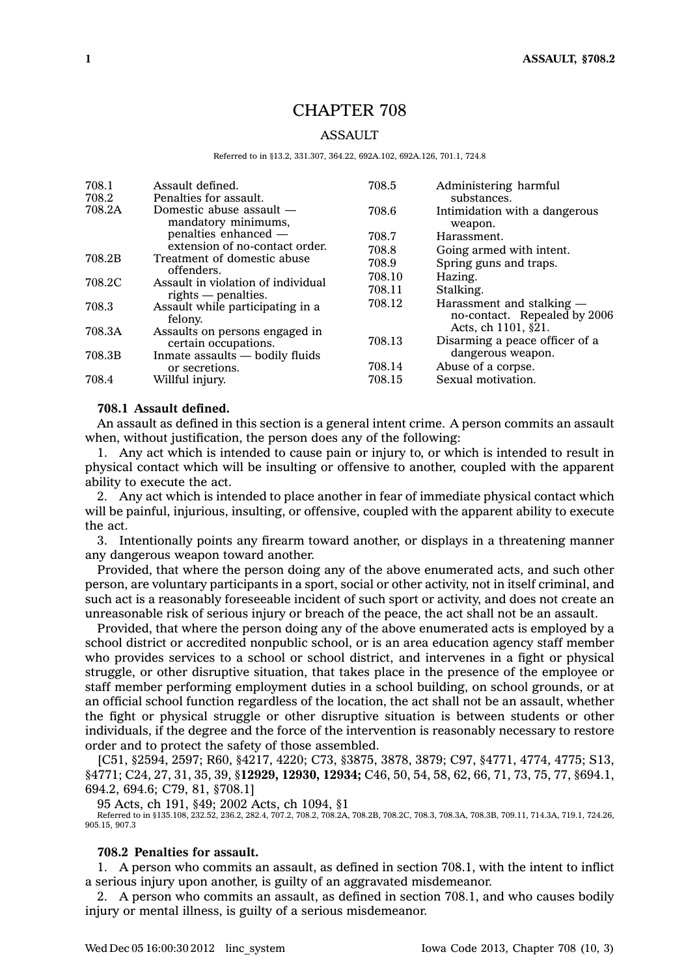# CHAPTER 708

### **ASSAULT**

#### Referred to in §13.2, 331.307, 364.22, 692A.102, 692A.126, 701.1, 724.8

| 708.1<br>708.2 | Assault defined.<br>Penalties for assault.      | 708.5  | Administering harmful<br>substances.                      |
|----------------|-------------------------------------------------|--------|-----------------------------------------------------------|
| 708.2A         | Domestic abuse assault —<br>mandatory minimums, | 708.6  | Intimidation with a dangerous<br>weapon.                  |
|                | penalties enhanced -                            | 708.7  | Harassment.                                               |
|                | extension of no-contact order.                  | 708.8  | Going armed with intent.                                  |
| 708.2B         | Treatment of domestic abuse<br>offenders.       | 708.9  | Spring guns and traps.                                    |
| 708.2C         | Assault in violation of individual              | 708.10 | Hazing.                                                   |
|                | $rights$ - penalties.                           | 708.11 | Stalking.                                                 |
| 708.3          | Assault while participating in a<br>felony.     | 708.12 | Harassment and stalking —<br>no-contact. Repealed by 2006 |
| 708.3A         | Assaults on persons engaged in                  |        | Acts, ch 1101, §21.                                       |
|                | certain occupations.                            | 708.13 | Disarming a peace officer of a                            |
| 708.3B         | Inmate assaults — bodily fluids                 |        | dangerous weapon.                                         |
|                | or secretions.                                  | 708.14 | Abuse of a corpse.                                        |
| 708.4          | Willful injury.                                 | 708.15 | Sexual motivation.                                        |

### **708.1 Assault defined.**

An assault as defined in this section is <sup>a</sup> general intent crime. A person commits an assault when, without justification, the person does any of the following:

1. Any act which is intended to cause pain or injury to, or which is intended to result in physical contact which will be insulting or offensive to another, coupled with the apparent ability to execute the act.

2. Any act which is intended to place another in fear of immediate physical contact which will be painful, injurious, insulting, or offensive, coupled with the apparent ability to execute the act.

3. Intentionally points any firearm toward another, or displays in <sup>a</sup> threatening manner any dangerous weapon toward another.

Provided, that where the person doing any of the above enumerated acts, and such other person, are voluntary participants in <sup>a</sup> sport, social or other activity, not in itself criminal, and such act is <sup>a</sup> reasonably foreseeable incident of such sport or activity, and does not create an unreasonable risk of serious injury or breach of the peace, the act shall not be an assault.

Provided, that where the person doing any of the above enumerated acts is employed by <sup>a</sup> school district or accredited nonpublic school, or is an area education agency staff member who provides services to <sup>a</sup> school or school district, and intervenes in <sup>a</sup> fight or physical struggle, or other disruptive situation, that takes place in the presence of the employee or staff member performing employment duties in <sup>a</sup> school building, on school grounds, or at an official school function regardless of the location, the act shall not be an assault, whether the fight or physical struggle or other disruptive situation is between students or other individuals, if the degree and the force of the intervention is reasonably necessary to restore order and to protect the safety of those assembled.

[C51, §2594, 2597; R60, §4217, 4220; C73, §3875, 3878, 3879; C97, §4771, 4774, 4775; S13, §4771; C24, 27, 31, 35, 39, §**12929, 12930, 12934;** C46, 50, 54, 58, 62, 66, 71, 73, 75, 77, §694.1, 694.2, 694.6; C79, 81, §708.1]

95 Acts, ch 191, §49; 2002 Acts, ch 1094, §1 Referred to in §135.108, 232.52, 236.2, 282.4, 707.2, 708.2, 708.2A, 708.2B, 708.2C, 708.3, 708.3A, 708.3B, 709.11, 714.3A, 719.1, 724.26, 905.15, 907.3

### **708.2 Penalties for assault.**

1. A person who commits an assault, as defined in section 708.1, with the intent to inflict <sup>a</sup> serious injury upon another, is guilty of an aggravated misdemeanor.

2. A person who commits an assault, as defined in section 708.1, and who causes bodily injury or mental illness, is guilty of <sup>a</sup> serious misdemeanor.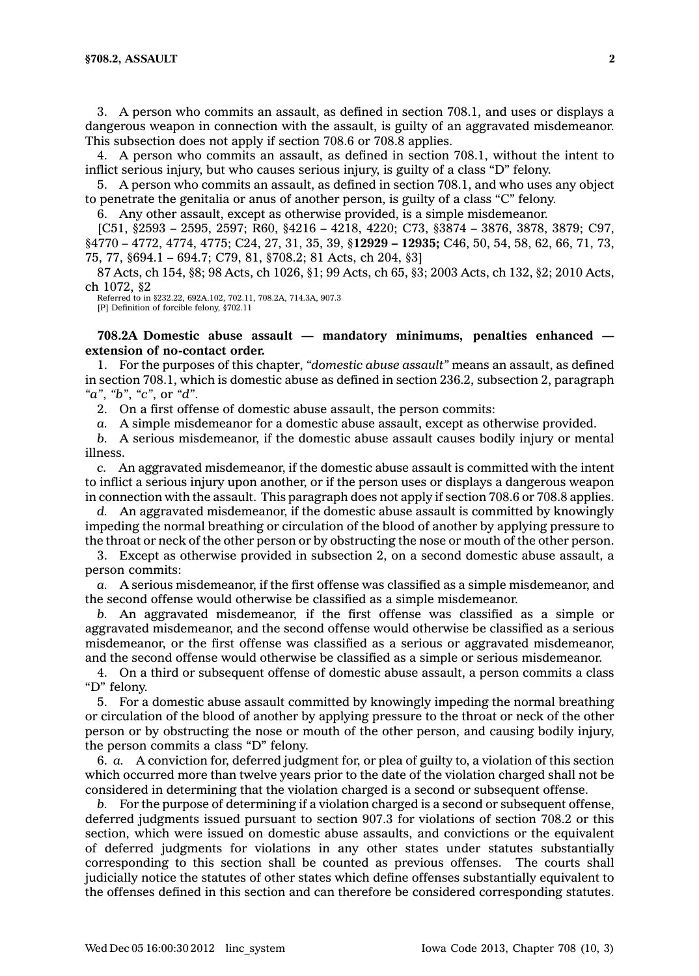3. A person who commits an assault, as defined in section 708.1, and uses or displays <sup>a</sup> dangerous weapon in connection with the assault, is guilty of an aggravated misdemeanor. This subsection does not apply if section 708.6 or 708.8 applies.

4. A person who commits an assault, as defined in section 708.1, without the intent to inflict serious injury, but who causes serious injury, is guilty of <sup>a</sup> class "D" felony.

5. A person who commits an assault, as defined in section 708.1, and who uses any object to penetrate the genitalia or anus of another person, is guilty of <sup>a</sup> class "C" felony.

6. Any other assault, except as otherwise provided, is <sup>a</sup> simple misdemeanor.

[C51, §2593 – 2595, 2597; R60, §4216 – 4218, 4220; C73, §3874 – 3876, 3878, 3879; C97, §4770 – 4772, 4774, 4775; C24, 27, 31, 35, 39, §**12929 – 12935;** C46, 50, 54, 58, 62, 66, 71, 73, 75, 77, §694.1 – 694.7; C79, 81, §708.2; 81 Acts, ch 204, §3]

87 Acts, ch 154, §8; 98 Acts, ch 1026, §1; 99 Acts, ch 65, §3; 2003 Acts, ch 132, §2; 2010 Acts, ch 1072, §2

Referred to in §232.22, 692A.102, 702.11, 708.2A, 714.3A, 907.3 [P] Definition of forcible felony, §702.11

**708.2A Domestic abuse assault — mandatory minimums, penalties enhanced extension of no-contact order.**

1. For the purposes of this chapter, *"domestic abuse assault"* means an assault, as defined in section 708.1, which is domestic abuse as defined in section 236.2, subsection 2, paragraph *"a"*, *"b"*, *"c"*, or *"d"*.

2. On <sup>a</sup> first offense of domestic abuse assault, the person commits:

*a.* A simple misdemeanor for <sup>a</sup> domestic abuse assault, except as otherwise provided.

*b.* A serious misdemeanor, if the domestic abuse assault causes bodily injury or mental illness.

*c.* An aggravated misdemeanor, if the domestic abuse assault is committed with the intent to inflict <sup>a</sup> serious injury upon another, or if the person uses or displays <sup>a</sup> dangerous weapon in connection with the assault. This paragraph does not apply if section 708.6 or 708.8 applies.

*d.* An aggravated misdemeanor, if the domestic abuse assault is committed by knowingly impeding the normal breathing or circulation of the blood of another by applying pressure to the throat or neck of the other person or by obstructing the nose or mouth of the other person.

3. Except as otherwise provided in subsection 2, on <sup>a</sup> second domestic abuse assault, <sup>a</sup> person commits:

*a.* A serious misdemeanor, if the first offense was classified as <sup>a</sup> simple misdemeanor, and the second offense would otherwise be classified as <sup>a</sup> simple misdemeanor.

*b.* An aggravated misdemeanor, if the first offense was classified as <sup>a</sup> simple or aggravated misdemeanor, and the second offense would otherwise be classified as <sup>a</sup> serious misdemeanor, or the first offense was classified as <sup>a</sup> serious or aggravated misdemeanor, and the second offense would otherwise be classified as <sup>a</sup> simple or serious misdemeanor.

4. On <sup>a</sup> third or subsequent offense of domestic abuse assault, <sup>a</sup> person commits <sup>a</sup> class "D" felony.

5. For <sup>a</sup> domestic abuse assault committed by knowingly impeding the normal breathing or circulation of the blood of another by applying pressure to the throat or neck of the other person or by obstructing the nose or mouth of the other person, and causing bodily injury, the person commits <sup>a</sup> class "D" felony.

6. *a.* A conviction for, deferred judgment for, or plea of guilty to, <sup>a</sup> violation of this section which occurred more than twelve years prior to the date of the violation charged shall not be considered in determining that the violation charged is <sup>a</sup> second or subsequent offense.

*b.* For the purpose of determining if <sup>a</sup> violation charged is <sup>a</sup> second or subsequent offense, deferred judgments issued pursuant to section 907.3 for violations of section 708.2 or this section, which were issued on domestic abuse assaults, and convictions or the equivalent of deferred judgments for violations in any other states under statutes substantially corresponding to this section shall be counted as previous offenses. The courts shall judicially notice the statutes of other states which define offenses substantially equivalent to the offenses defined in this section and can therefore be considered corresponding statutes.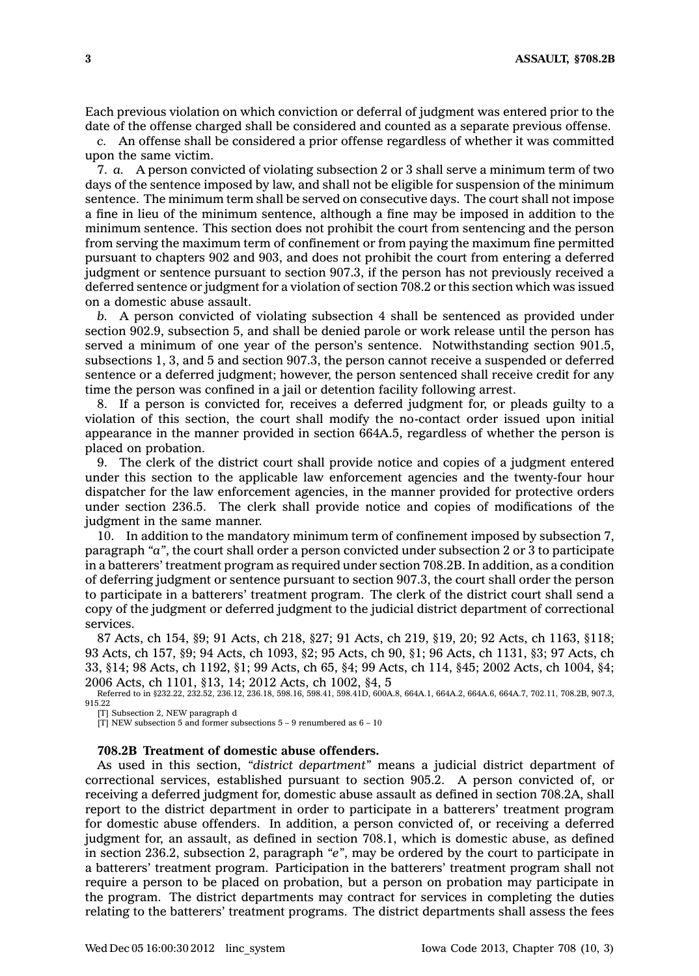Each previous violation on which conviction or deferral of judgment was entered prior to the date of the offense charged shall be considered and counted as <sup>a</sup> separate previous offense.

*c.* An offense shall be considered <sup>a</sup> prior offense regardless of whether it was committed upon the same victim.

7. *a.* A person convicted of violating subsection 2 or 3 shall serve <sup>a</sup> minimum term of two days of the sentence imposed by law, and shall not be eligible for suspension of the minimum sentence. The minimum term shall be served on consecutive days. The court shall not impose <sup>a</sup> fine in lieu of the minimum sentence, although <sup>a</sup> fine may be imposed in addition to the minimum sentence. This section does not prohibit the court from sentencing and the person from serving the maximum term of confinement or from paying the maximum fine permitted pursuant to chapters 902 and 903, and does not prohibit the court from entering <sup>a</sup> deferred judgment or sentence pursuant to section 907.3, if the person has not previously received <sup>a</sup> deferred sentence or judgment for <sup>a</sup> violation of section 708.2 or this section which was issued on <sup>a</sup> domestic abuse assault.

*b.* A person convicted of violating subsection 4 shall be sentenced as provided under section 902.9, subsection 5, and shall be denied parole or work release until the person has served <sup>a</sup> minimum of one year of the person's sentence. Notwithstanding section 901.5, subsections 1, 3, and 5 and section 907.3, the person cannot receive <sup>a</sup> suspended or deferred sentence or <sup>a</sup> deferred judgment; however, the person sentenced shall receive credit for any time the person was confined in <sup>a</sup> jail or detention facility following arrest.

8. If <sup>a</sup> person is convicted for, receives <sup>a</sup> deferred judgment for, or pleads guilty to <sup>a</sup> violation of this section, the court shall modify the no-contact order issued upon initial appearance in the manner provided in section 664A.5, regardless of whether the person is placed on probation.

9. The clerk of the district court shall provide notice and copies of <sup>a</sup> judgment entered under this section to the applicable law enforcement agencies and the twenty-four hour dispatcher for the law enforcement agencies, in the manner provided for protective orders under section 236.5. The clerk shall provide notice and copies of modifications of the judgment in the same manner.

10. In addition to the mandatory minimum term of confinement imposed by subsection 7, paragraph *"a"*, the court shall order <sup>a</sup> person convicted under subsection 2 or 3 to participate in <sup>a</sup> batterers' treatment program as required under section 708.2B. In addition, as <sup>a</sup> condition of deferring judgment or sentence pursuant to section 907.3, the court shall order the person to participate in <sup>a</sup> batterers' treatment program. The clerk of the district court shall send <sup>a</sup> copy of the judgment or deferred judgment to the judicial district department of correctional services.

 Acts, ch 154, §9; 91 Acts, ch 218, §27; 91 Acts, ch 219, §19, 20; 92 Acts, ch 1163, §118; Acts, ch 157, §9; 94 Acts, ch 1093, §2; 95 Acts, ch 90, §1; 96 Acts, ch 1131, §3; 97 Acts, ch 33, §14; 98 Acts, ch 1192, §1; 99 Acts, ch 65, §4; 99 Acts, ch 114, §45; 2002 Acts, ch 1004, §4; Acts, ch 1101, §13, 14; 2012 Acts, ch 1002, §4, 5 Referred to in §232.22, 232.52, 236.12, 236.18, 598.16, 598.41, 598.41D, 600A.8, 664A.1, 664A.2, 664A.6, 664A.7, 702.11, 708.2B, 907.3,

915.22

[T] Subsection 2, NEW paragraph d

[T] NEW subsection 5 and former subsections  $5 - 9$  renumbered as  $6 - 10$ 

#### **708.2B Treatment of domestic abuse offenders.**

As used in this section, *"district department"* means <sup>a</sup> judicial district department of correctional services, established pursuant to section 905.2. A person convicted of, or receiving <sup>a</sup> deferred judgment for, domestic abuse assault as defined in section 708.2A, shall report to the district department in order to participate in <sup>a</sup> batterers' treatment program for domestic abuse offenders. In addition, <sup>a</sup> person convicted of, or receiving <sup>a</sup> deferred judgment for, an assault, as defined in section 708.1, which is domestic abuse, as defined in section 236.2, subsection 2, paragraph *"e"*, may be ordered by the court to participate in <sup>a</sup> batterers' treatment program. Participation in the batterers' treatment program shall not require <sup>a</sup> person to be placed on probation, but <sup>a</sup> person on probation may participate in the program. The district departments may contract for services in completing the duties relating to the batterers' treatment programs. The district departments shall assess the fees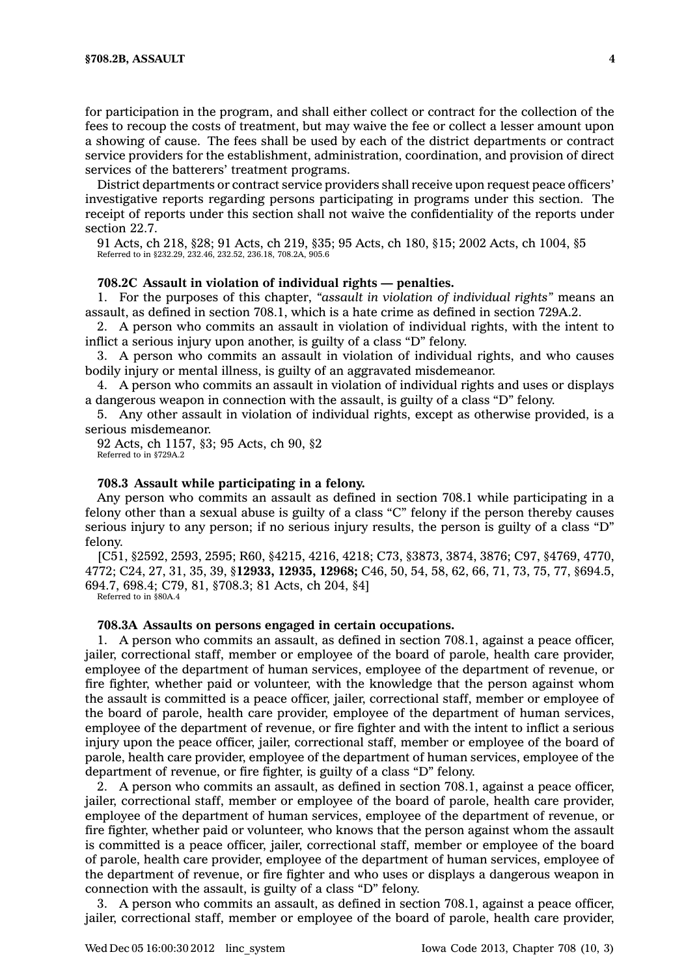for participation in the program, and shall either collect or contract for the collection of the fees to recoup the costs of treatment, but may waive the fee or collect <sup>a</sup> lesser amount upon <sup>a</sup> showing of cause. The fees shall be used by each of the district departments or contract service providers for the establishment, administration, coordination, and provision of direct services of the batterers' treatment programs.

District departments or contract service providers shall receive upon request peace officers' investigative reports regarding persons participating in programs under this section. The receipt of reports under this section shall not waive the confidentiality of the reports under section 22.7.

91 Acts, ch 218, §28; 91 Acts, ch 219, §35; 95 Acts, ch 180, §15; 2002 Acts, ch 1004, §5 Referred to in §232.29, 232.46, 232.52, 236.18, 708.2A, 905.6

### **708.2C Assault in violation of individual rights — penalties.**

1. For the purposes of this chapter, *"assault in violation of individual rights"* means an assault, as defined in section 708.1, which is <sup>a</sup> hate crime as defined in section 729A.2.

2. A person who commits an assault in violation of individual rights, with the intent to inflict <sup>a</sup> serious injury upon another, is guilty of <sup>a</sup> class "D" felony.

3. A person who commits an assault in violation of individual rights, and who causes bodily injury or mental illness, is guilty of an aggravated misdemeanor.

4. A person who commits an assault in violation of individual rights and uses or displays <sup>a</sup> dangerous weapon in connection with the assault, is guilty of <sup>a</sup> class "D" felony.

5. Any other assault in violation of individual rights, except as otherwise provided, is <sup>a</sup> serious misdemeanor.

92 Acts, ch 1157, §3; 95 Acts, ch 90, §2 Referred to in §729A.2

### **708.3 Assault while participating in <sup>a</sup> felony.**

Any person who commits an assault as defined in section 708.1 while participating in <sup>a</sup> felony other than <sup>a</sup> sexual abuse is guilty of <sup>a</sup> class "C" felony if the person thereby causes serious injury to any person; if no serious injury results, the person is guilty of <sup>a</sup> class "D" felony.

[C51, §2592, 2593, 2595; R60, §4215, 4216, 4218; C73, §3873, 3874, 3876; C97, §4769, 4770, 4772; C24, 27, 31, 35, 39, §**12933, 12935, 12968;** C46, 50, 54, 58, 62, 66, 71, 73, 75, 77, §694.5, 694.7, 698.4; C79, 81, §708.3; 81 Acts, ch 204, §4]

Referred to in §80A.4

### **708.3A Assaults on persons engaged in certain occupations.**

1. A person who commits an assault, as defined in section 708.1, against <sup>a</sup> peace officer, jailer, correctional staff, member or employee of the board of parole, health care provider, employee of the department of human services, employee of the department of revenue, or fire fighter, whether paid or volunteer, with the knowledge that the person against whom the assault is committed is <sup>a</sup> peace officer, jailer, correctional staff, member or employee of the board of parole, health care provider, employee of the department of human services, employee of the department of revenue, or fire fighter and with the intent to inflict <sup>a</sup> serious injury upon the peace officer, jailer, correctional staff, member or employee of the board of parole, health care provider, employee of the department of human services, employee of the department of revenue, or fire fighter, is guilty of <sup>a</sup> class "D" felony.

2. A person who commits an assault, as defined in section 708.1, against <sup>a</sup> peace officer, jailer, correctional staff, member or employee of the board of parole, health care provider, employee of the department of human services, employee of the department of revenue, or fire fighter, whether paid or volunteer, who knows that the person against whom the assault is committed is <sup>a</sup> peace officer, jailer, correctional staff, member or employee of the board of parole, health care provider, employee of the department of human services, employee of the department of revenue, or fire fighter and who uses or displays <sup>a</sup> dangerous weapon in connection with the assault, is guilty of <sup>a</sup> class "D" felony.

3. A person who commits an assault, as defined in section 708.1, against <sup>a</sup> peace officer, jailer, correctional staff, member or employee of the board of parole, health care provider,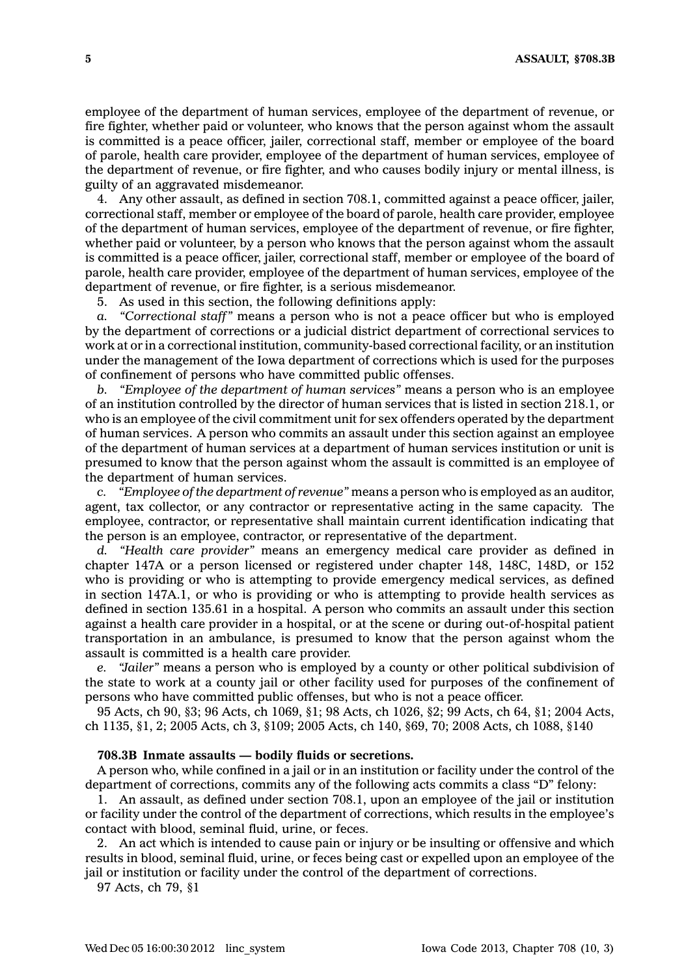employee of the department of human services, employee of the department of revenue, or fire fighter, whether paid or volunteer, who knows that the person against whom the assault is committed is <sup>a</sup> peace officer, jailer, correctional staff, member or employee of the board of parole, health care provider, employee of the department of human services, employee of the department of revenue, or fire fighter, and who causes bodily injury or mental illness, is guilty of an aggravated misdemeanor.

4. Any other assault, as defined in section 708.1, committed against <sup>a</sup> peace officer, jailer, correctional staff, member or employee of the board of parole, health care provider, employee of the department of human services, employee of the department of revenue, or fire fighter, whether paid or volunteer, by <sup>a</sup> person who knows that the person against whom the assault is committed is <sup>a</sup> peace officer, jailer, correctional staff, member or employee of the board of parole, health care provider, employee of the department of human services, employee of the department of revenue, or fire fighter, is <sup>a</sup> serious misdemeanor.

5. As used in this section, the following definitions apply:

*a. "Correctional staff"* means <sup>a</sup> person who is not <sup>a</sup> peace officer but who is employed by the department of corrections or <sup>a</sup> judicial district department of correctional services to work at or in <sup>a</sup> correctional institution, community-based correctional facility, or an institution under the management of the Iowa department of corrections which is used for the purposes of confinement of persons who have committed public offenses.

*b. "Employee of the department of human services"* means <sup>a</sup> person who is an employee of an institution controlled by the director of human services that is listed in section 218.1, or who is an employee of the civil commitment unit for sex offenders operated by the department of human services. A person who commits an assault under this section against an employee of the department of human services at <sup>a</sup> department of human services institution or unit is presumed to know that the person against whom the assault is committed is an employee of the department of human services.

*c. "Employee of the department of revenue"* means <sup>a</sup> person who is employed as an auditor, agent, tax collector, or any contractor or representative acting in the same capacity. The employee, contractor, or representative shall maintain current identification indicating that the person is an employee, contractor, or representative of the department.

*d. "Health care provider"* means an emergency medical care provider as defined in chapter 147A or <sup>a</sup> person licensed or registered under chapter 148, 148C, 148D, or 152 who is providing or who is attempting to provide emergency medical services, as defined in section 147A.1, or who is providing or who is attempting to provide health services as defined in section 135.61 in <sup>a</sup> hospital. A person who commits an assault under this section against <sup>a</sup> health care provider in <sup>a</sup> hospital, or at the scene or during out-of-hospital patient transportation in an ambulance, is presumed to know that the person against whom the assault is committed is <sup>a</sup> health care provider.

*e. "Jailer"* means <sup>a</sup> person who is employed by <sup>a</sup> county or other political subdivision of the state to work at <sup>a</sup> county jail or other facility used for purposes of the confinement of persons who have committed public offenses, but who is not <sup>a</sup> peace officer.

95 Acts, ch 90, §3; 96 Acts, ch 1069, §1; 98 Acts, ch 1026, §2; 99 Acts, ch 64, §1; 2004 Acts, ch 1135, §1, 2; 2005 Acts, ch 3, §109; 2005 Acts, ch 140, §69, 70; 2008 Acts, ch 1088, §140

## **708.3B Inmate assaults — bodily fluids or secretions.**

A person who, while confined in <sup>a</sup> jail or in an institution or facility under the control of the department of corrections, commits any of the following acts commits <sup>a</sup> class "D" felony:

1. An assault, as defined under section 708.1, upon an employee of the jail or institution or facility under the control of the department of corrections, which results in the employee's contact with blood, seminal fluid, urine, or feces.

2. An act which is intended to cause pain or injury or be insulting or offensive and which results in blood, seminal fluid, urine, or feces being cast or expelled upon an employee of the jail or institution or facility under the control of the department of corrections.

97 Acts, ch 79, §1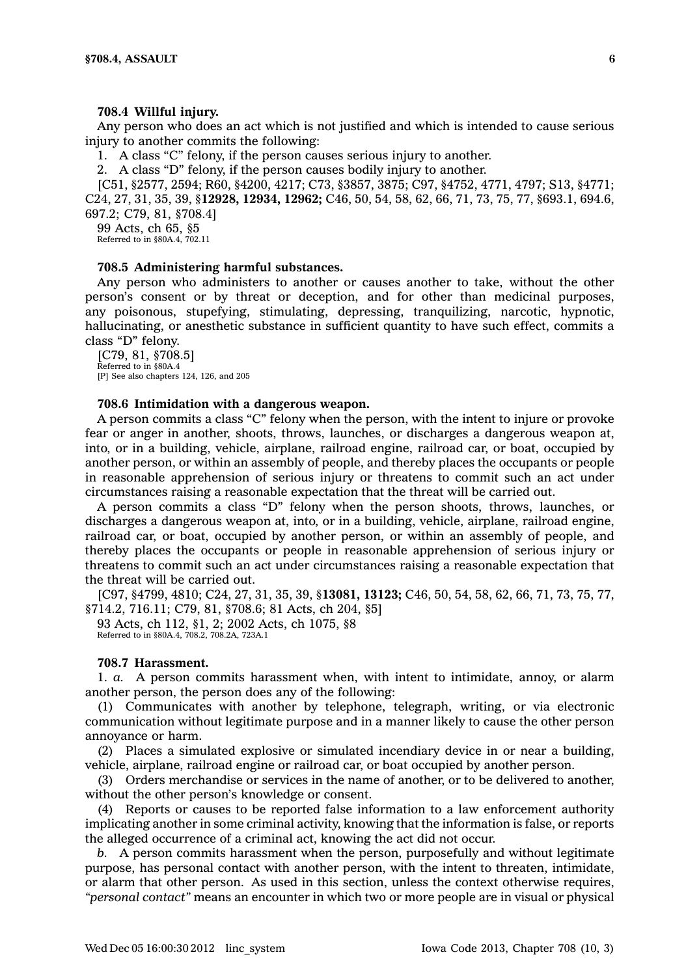#### **708.4 Willful injury.**

Any person who does an act which is not justified and which is intended to cause serious injury to another commits the following:

1. A class "C" felony, if the person causes serious injury to another.

2. A class "D" felony, if the person causes bodily injury to another.

[C51, §2577, 2594; R60, §4200, 4217; C73, §3857, 3875; C97, §4752, 4771, 4797; S13, §4771; C24, 27, 31, 35, 39, §**12928, 12934, 12962;** C46, 50, 54, 58, 62, 66, 71, 73, 75, 77, §693.1, 694.6, 697.2; C79, 81, §708.4]

99 Acts, ch 65, §5 Referred to in §80A.4, 702.11

### **708.5 Administering harmful substances.**

Any person who administers to another or causes another to take, without the other person's consent or by threat or deception, and for other than medicinal purposes, any poisonous, stupefying, stimulating, depressing, tranquilizing, narcotic, hypnotic, hallucinating, or anesthetic substance in sufficient quantity to have such effect, commits <sup>a</sup> class "D" felony.

[C79, 81, §708.5] Referred to in §80A.4 [P] See also chapters 124, 126, and 205

#### **708.6 Intimidation with <sup>a</sup> dangerous weapon.**

A person commits <sup>a</sup> class "C" felony when the person, with the intent to injure or provoke fear or anger in another, shoots, throws, launches, or discharges <sup>a</sup> dangerous weapon at, into, or in <sup>a</sup> building, vehicle, airplane, railroad engine, railroad car, or boat, occupied by another person, or within an assembly of people, and thereby places the occupants or people in reasonable apprehension of serious injury or threatens to commit such an act under circumstances raising <sup>a</sup> reasonable expectation that the threat will be carried out.

A person commits <sup>a</sup> class "D" felony when the person shoots, throws, launches, or discharges <sup>a</sup> dangerous weapon at, into, or in <sup>a</sup> building, vehicle, airplane, railroad engine, railroad car, or boat, occupied by another person, or within an assembly of people, and thereby places the occupants or people in reasonable apprehension of serious injury or threatens to commit such an act under circumstances raising <sup>a</sup> reasonable expectation that the threat will be carried out.

[C97, §4799, 4810; C24, 27, 31, 35, 39, §**13081, 13123;** C46, 50, 54, 58, 62, 66, 71, 73, 75, 77, §714.2, 716.11; C79, 81, §708.6; 81 Acts, ch 204, §5]

93 Acts, ch 112, §1, 2; 2002 Acts, ch 1075, §8 Referred to in §80A.4, 708.2, 708.2A, 723A.1

### **708.7 Harassment.**

1. *a.* A person commits harassment when, with intent to intimidate, annoy, or alarm another person, the person does any of the following:

(1) Communicates with another by telephone, telegraph, writing, or via electronic communication without legitimate purpose and in <sup>a</sup> manner likely to cause the other person annoyance or harm.

(2) Places <sup>a</sup> simulated explosive or simulated incendiary device in or near <sup>a</sup> building, vehicle, airplane, railroad engine or railroad car, or boat occupied by another person.

(3) Orders merchandise or services in the name of another, or to be delivered to another, without the other person's knowledge or consent.

(4) Reports or causes to be reported false information to <sup>a</sup> law enforcement authority implicating another in some criminal activity, knowing that the information is false, or reports the alleged occurrence of <sup>a</sup> criminal act, knowing the act did not occur.

*b.* A person commits harassment when the person, purposefully and without legitimate purpose, has personal contact with another person, with the intent to threaten, intimidate, or alarm that other person. As used in this section, unless the context otherwise requires, *"personal contact"* means an encounter in which two or more people are in visual or physical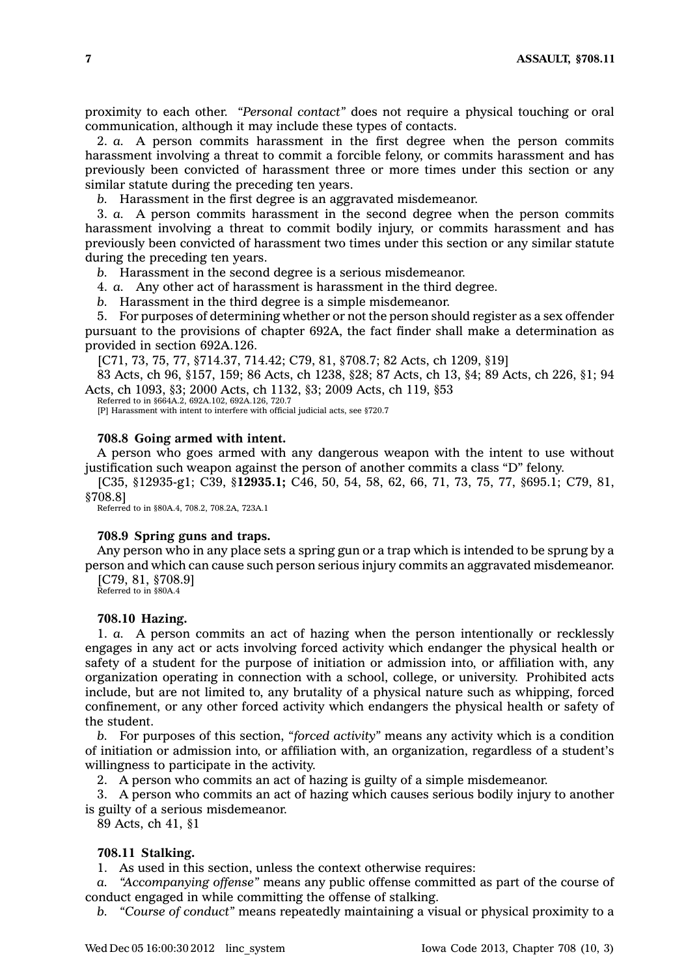proximity to each other. *"Personal contact"* does not require <sup>a</sup> physical touching or oral communication, although it may include these types of contacts.

2. *a.* A person commits harassment in the first degree when the person commits harassment involving <sup>a</sup> threat to commit <sup>a</sup> forcible felony, or commits harassment and has previously been convicted of harassment three or more times under this section or any similar statute during the preceding ten years.

*b.* Harassment in the first degree is an aggravated misdemeanor.

3. *a.* A person commits harassment in the second degree when the person commits harassment involving <sup>a</sup> threat to commit bodily injury, or commits harassment and has previously been convicted of harassment two times under this section or any similar statute during the preceding ten years.

*b.* Harassment in the second degree is <sup>a</sup> serious misdemeanor.

4. *a.* Any other act of harassment is harassment in the third degree.

*b.* Harassment in the third degree is <sup>a</sup> simple misdemeanor.

5. For purposes of determining whether or not the person should register as <sup>a</sup> sex offender pursuant to the provisions of chapter 692A, the fact finder shall make <sup>a</sup> determination as provided in section 692A.126.

[C71, 73, 75, 77, §714.37, 714.42; C79, 81, §708.7; 82 Acts, ch 1209, §19]

83 Acts, ch 96, §157, 159; 86 Acts, ch 1238, §28; 87 Acts, ch 13, §4; 89 Acts, ch 226, §1; 94 Acts, ch 1093, §3; 2000 Acts, ch 1132, §3; 2009 Acts, ch 119, §53 Referred to in §664A.2, 692A.102, 692A.126, 720.7

[P] Harassment with intent to interfere with official judicial acts, see §720.7

#### **708.8 Going armed with intent.**

A person who goes armed with any dangerous weapon with the intent to use without justification such weapon against the person of another commits <sup>a</sup> class "D" felony.

[C35, §12935-g1; C39, §**12935.1;** C46, 50, 54, 58, 62, 66, 71, 73, 75, 77, §695.1; C79, 81, §708.8]

Referred to in §80A.4, 708.2, 708.2A, 723A.1

#### **708.9 Spring guns and traps.**

Any person who in any place sets <sup>a</sup> spring gun or <sup>a</sup> trap which is intended to be sprung by <sup>a</sup> person and which can cause such person serious injury commits an aggravated misdemeanor.

[C79, 81, §708.9] Referred to in §80A.4

#### **708.10 Hazing.**

1. *a.* A person commits an act of hazing when the person intentionally or recklessly engages in any act or acts involving forced activity which endanger the physical health or safety of <sup>a</sup> student for the purpose of initiation or admission into, or affiliation with, any organization operating in connection with <sup>a</sup> school, college, or university. Prohibited acts include, but are not limited to, any brutality of <sup>a</sup> physical nature such as whipping, forced confinement, or any other forced activity which endangers the physical health or safety of the student.

*b.* For purposes of this section, *"forced activity"* means any activity which is <sup>a</sup> condition of initiation or admission into, or affiliation with, an organization, regardless of <sup>a</sup> student's willingness to participate in the activity.

2. A person who commits an act of hazing is guilty of <sup>a</sup> simple misdemeanor.

3. A person who commits an act of hazing which causes serious bodily injury to another is guilty of <sup>a</sup> serious misdemeanor.

89 Acts, ch 41, §1

### **708.11 Stalking.**

1. As used in this section, unless the context otherwise requires:

*a. "Accompanying offense"* means any public offense committed as part of the course of conduct engaged in while committing the offense of stalking.

*b. "Course of conduct"* means repeatedly maintaining <sup>a</sup> visual or physical proximity to <sup>a</sup>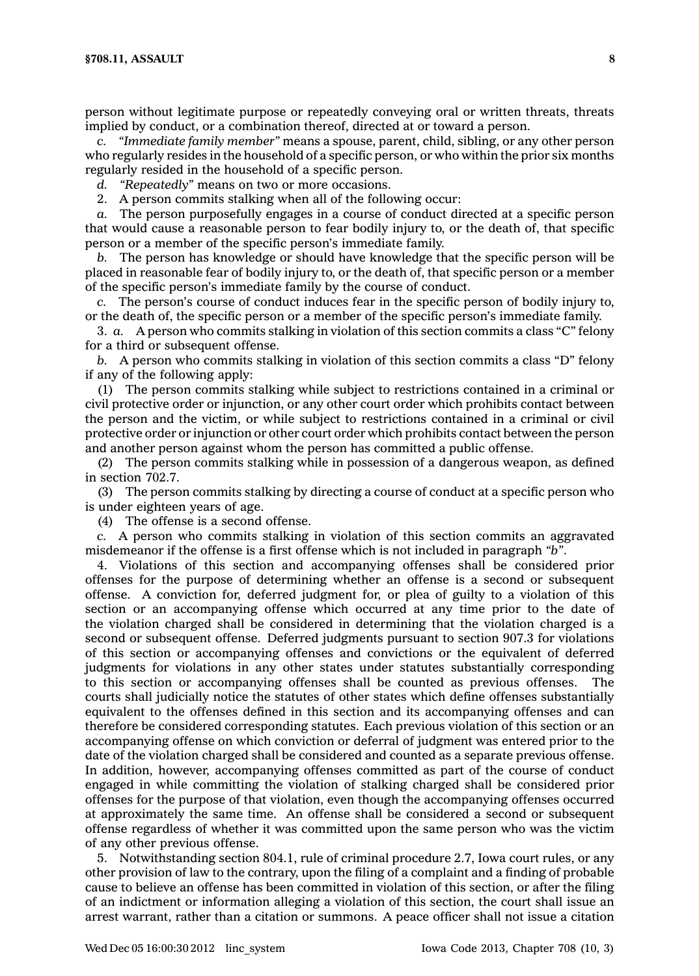person without legitimate purpose or repeatedly conveying oral or written threats, threats implied by conduct, or <sup>a</sup> combination thereof, directed at or toward <sup>a</sup> person.

*c. "Immediate family member"* means <sup>a</sup> spouse, parent, child, sibling, or any other person who regularly resides in the household of <sup>a</sup> specific person, or who within the prior six months regularly resided in the household of <sup>a</sup> specific person.

*d. "Repeatedly"* means on two or more occasions.

2. A person commits stalking when all of the following occur:

*a.* The person purposefully engages in <sup>a</sup> course of conduct directed at <sup>a</sup> specific person that would cause <sup>a</sup> reasonable person to fear bodily injury to, or the death of, that specific person or <sup>a</sup> member of the specific person's immediate family.

*b.* The person has knowledge or should have knowledge that the specific person will be placed in reasonable fear of bodily injury to, or the death of, that specific person or <sup>a</sup> member of the specific person's immediate family by the course of conduct.

*c.* The person's course of conduct induces fear in the specific person of bodily injury to, or the death of, the specific person or <sup>a</sup> member of the specific person's immediate family.

3. *a.* A person who commits stalking in violation of this section commits <sup>a</sup> class "C" felony for <sup>a</sup> third or subsequent offense.

*b.* A person who commits stalking in violation of this section commits <sup>a</sup> class "D" felony if any of the following apply:

(1) The person commits stalking while subject to restrictions contained in <sup>a</sup> criminal or civil protective order or injunction, or any other court order which prohibits contact between the person and the victim, or while subject to restrictions contained in <sup>a</sup> criminal or civil protective order or injunction or other court order which prohibits contact between the person and another person against whom the person has committed <sup>a</sup> public offense.

(2) The person commits stalking while in possession of <sup>a</sup> dangerous weapon, as defined in section 702.7.

(3) The person commits stalking by directing <sup>a</sup> course of conduct at <sup>a</sup> specific person who is under eighteen years of age.

(4) The offense is <sup>a</sup> second offense.

*c.* A person who commits stalking in violation of this section commits an aggravated misdemeanor if the offense is <sup>a</sup> first offense which is not included in paragraph *"b"*.

4. Violations of this section and accompanying offenses shall be considered prior offenses for the purpose of determining whether an offense is <sup>a</sup> second or subsequent offense. A conviction for, deferred judgment for, or plea of guilty to <sup>a</sup> violation of this section or an accompanying offense which occurred at any time prior to the date of the violation charged shall be considered in determining that the violation charged is <sup>a</sup> second or subsequent offense. Deferred judgments pursuant to section 907.3 for violations of this section or accompanying offenses and convictions or the equivalent of deferred judgments for violations in any other states under statutes substantially corresponding to this section or accompanying offenses shall be counted as previous offenses. The courts shall judicially notice the statutes of other states which define offenses substantially equivalent to the offenses defined in this section and its accompanying offenses and can therefore be considered corresponding statutes. Each previous violation of this section or an accompanying offense on which conviction or deferral of judgment was entered prior to the date of the violation charged shall be considered and counted as <sup>a</sup> separate previous offense. In addition, however, accompanying offenses committed as part of the course of conduct engaged in while committing the violation of stalking charged shall be considered prior offenses for the purpose of that violation, even though the accompanying offenses occurred at approximately the same time. An offense shall be considered <sup>a</sup> second or subsequent offense regardless of whether it was committed upon the same person who was the victim of any other previous offense.

5. Notwithstanding section 804.1, rule of criminal procedure 2.7, Iowa court rules, or any other provision of law to the contrary, upon the filing of <sup>a</sup> complaint and <sup>a</sup> finding of probable cause to believe an offense has been committed in violation of this section, or after the filing of an indictment or information alleging <sup>a</sup> violation of this section, the court shall issue an arrest warrant, rather than <sup>a</sup> citation or summons. A peace officer shall not issue <sup>a</sup> citation